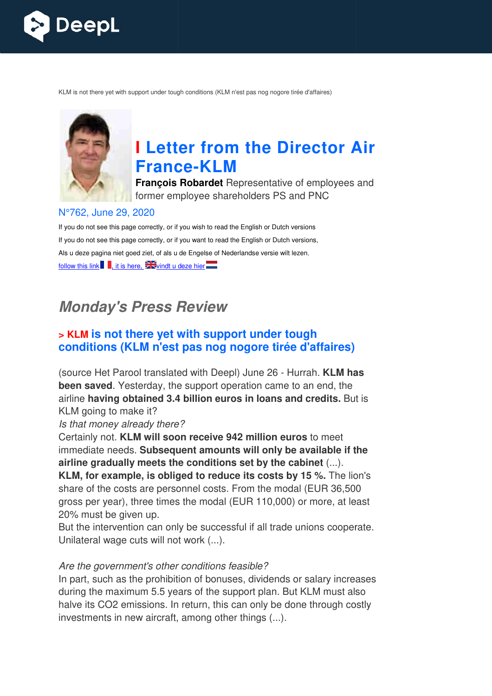

KLM is not there yet with support under tough conditions (KLM n'est pas nog nogore tirée d'affaires)



# **I Letter from the Director Air France France-KLM**

**François Robardet** Representative of employees and former employee shareholders PS and PNC

#### N°762, June 29, 2020

If you do not see this page correctly, or if you wish to read the English or Dutch versions If you do not see this page correctly, or if you want to read the English or Dutch versions, Als u deze pagina niet goed ziet, of als u de Engelse of Nederlandse versie wilt lezen, follow this link , it is here,  $\frac{1}{2}$  windt u deze hier

## **Monday's Press Review**

## **> KLM is not there yet with support under tough conditions (KLM n'est pas nog nogore tirée d'affaires)**

(source Het Parool translated with Deepl) June 26 - Hurrah. **KLM has been saved**. Yesterday, the support operation came to an end, the airline **having obtained 3.4 billion euros in loans and credits.**  But is KLM going to make it?

#### Is that money already there?

Certainly not. **KLM will soon receive 942 million euros** to meet immediate needs. **Subsequent amounts will only be available if the airline gradually meets the conditions set by the cabinet** (...).

**KLM, for example, is obliged to reduce its costs by 15 %.** The lion's share of the costs are personnel costs. From the modal (EUR 36,500 gross per year), three times the modal (EUR 110,000) or more, at least 20% must be given up.

But the intervention can only be successful if all trade unions cooperate. Unilateral wage cuts will not work (...).

#### Are the government's other conditions feasible?

In part, such as the prohibition of bonuses, dividends or salary increases during the maximum 5.5 years of the support plan. But KLM must also halve its CO2 emissions. In return, this can only be done through costly investments in new aircraft, among other things (...).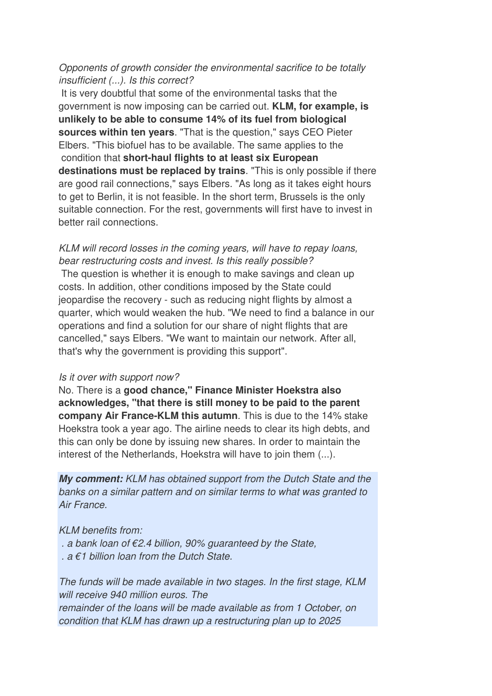#### Opponents of growth consider the environmental sacrifice to be totally insufficient (...). Is this correct?

 It is very doubtful that some of the environmental tasks that the government is now imposing can be carried out. **KLM, for example, is unlikely to be able to consume 14% of its fuel from biological sources within ten years**. "That is the question," says CEO Pieter Elbers. "This biofuel has to be available. The same applies to the condition that **short-haul flights to at least six European destinations must be replaced by trains**. "This is only possible if there are good rail connections," says Elbers. "As long as it takes eight hours to get to Berlin, it is not feasible. In the short term, Brussels is the only suitable connection. For the rest, governments will first have to invest in better rail connections.

KLM will record losses in the coming years, will have to repay loans, bear restructuring costs and invest. Is this really possible? The question is whether it is enough to make savings and clean up costs. In addition, other conditions imposed by the State could jeopardise the recovery - such as reducing night flights by almost a quarter, which would weaken the hub. "We need to find a balance in our operations and find a solution for our share of night flights that are cancelled," says Elbers. "We want to maintain our network. After all, that's why the government is providing this support".

#### Is it over with support now?

No. There is a **good chance," Finance Minister Hoekstra also acknowledges, "that there is still money to be paid to the parent company Air France-KLM this autumn**. This is due to the 14% stake Hoekstra took a year ago. The airline needs to clear its high debts, and this can only be done by issuing new shares. In order to maintain the interest of the Netherlands, Hoekstra will have to join them (...).

**My comment:** KLM has obtained support from the Dutch State and the banks on a similar pattern and on similar terms to what was granted to Air France.

KLM benefits from:

- . a bank loan of  $E2.4$  billion, 90% guaranteed by the State,
- .  $a \in I$  billion loan from the Dutch State.

The funds will be made available in two stages. In the first stage, KLM will receive 940 million euros. The remainder of the loans will be made available as from 1 October, on condition that KLM has drawn up a restructuring plan up to 2025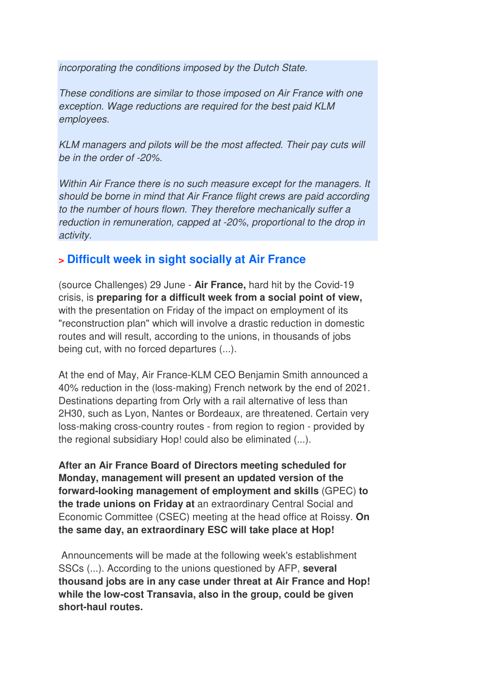incorporating the conditions imposed by the Dutch State.

These conditions are similar to those imposed on Air France with one exception. Wage reductions are required for the best paid KLM employees.

KLM managers and pilots will be the most affected. Their pay cuts will be in the order of -20%.

Within Air France there is no such measure except for the managers. It should be borne in mind that Air France flight crews are paid according to the number of hours flown. They therefore mechanically suffer a reduction in remuneration, capped at -20%, proportional to the drop in activity.

## **> Difficult week in sight socially at Air France**

(source Challenges) 29 June - **Air France,** hard hit by the Covid-19 crisis, is **preparing for a difficult week from a social point of view,** with the presentation on Friday of the impact on employment of its "reconstruction plan" which will involve a drastic reduction in domestic routes and will result, according to the unions, in thousands of jobs being cut, with no forced departures (...).

At the end of May, Air France-KLM CEO Benjamin Smith announced a 40% reduction in the (loss-making) French network by the end of 2021. Destinations departing from Orly with a rail alternative of less than 2H30, such as Lyon, Nantes or Bordeaux, are threatened. Certain very loss-making cross-country routes - from region to region - provided by the regional subsidiary Hop! could also be eliminated (...).

**After an Air France Board of Directors meeting scheduled for Monday, management will present an updated version of the forward-looking management of employment and skills** (GPEC) **to the trade unions on Friday at** an extraordinary Central Social and Economic Committee (CSEC) meeting at the head office at Roissy. **On the same day, an extraordinary ESC will take place at Hop!** 

 Announcements will be made at the following week's establishment SSCs (...). According to the unions questioned by AFP, **several thousand jobs are in any case under threat at Air France and Hop! while the low-cost Transavia, also in the group, could be given short-haul routes.**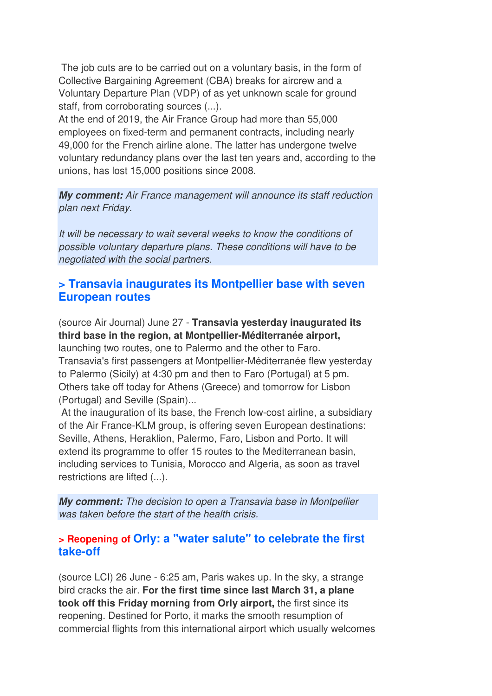The job cuts are to be carried out on a voluntary basis, in the form of Collective Bargaining Agreement (CBA) breaks for aircrew and a Voluntary Departure Plan (VDP) of as yet unknown scale for ground staff, from corroborating sources (...).

At the end of 2019, the Air France Group had more than 55,000 employees on fixed-term and permanent contracts, including nearly 49,000 for the French airline alone. The latter has undergone twelve voluntary redundancy plans over the last ten years and, according to the unions, has lost 15,000 positions since 2008.

**My comment:** Air France management will announce its staff reduction plan next Friday.

It will be necessary to wait several weeks to know the conditions of possible voluntary departure plans. These conditions will have to be negotiated with the social partners.

#### **> Transavia inaugurates its Montpellier base with seven European routes**

(source Air Journal) June 27 - **Transavia yesterday inaugurated its third base in the region, at Montpellier-Méditerranée airport,** launching two routes, one to Palermo and the other to Faro. Transavia's first passengers at Montpellier-Méditerranée flew yesterday to Palermo (Sicily) at 4:30 pm and then to Faro (Portugal) at 5 pm. Others take off today for Athens (Greece) and tomorrow for Lisbon (Portugal) and Seville (Spain)...

 At the inauguration of its base, the French low-cost airline, a subsidiary of the Air France-KLM group, is offering seven European destinations: Seville, Athens, Heraklion, Palermo, Faro, Lisbon and Porto. It will extend its programme to offer 15 routes to the Mediterranean basin, including services to Tunisia, Morocco and Algeria, as soon as travel restrictions are lifted (...).

**My comment:** The decision to open a Transavia base in Montpellier was taken before the start of the health crisis.

## **> Reopening of Orly: a "water salute" to celebrate the first take-off**

(source LCI) 26 June - 6:25 am, Paris wakes up. In the sky, a strange bird cracks the air. **For the first time since last March 31, a plane took off this Friday morning from Orly airport,** the first since its reopening. Destined for Porto, it marks the smooth resumption of commercial flights from this international airport which usually welcomes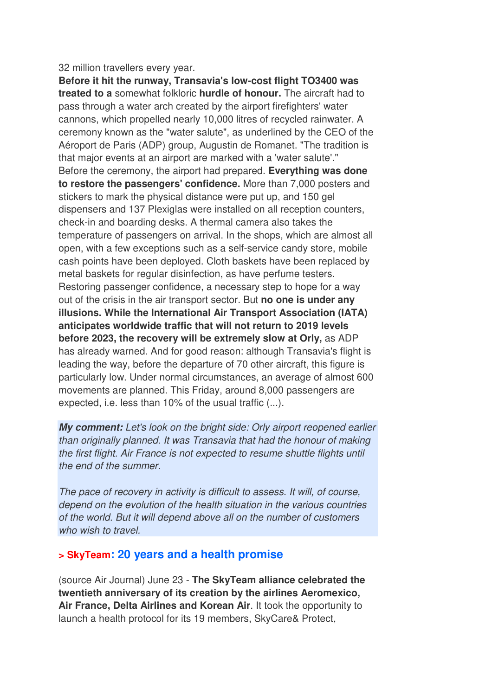#### 32 million travellers every year.

**Before it hit the runway, Transavia's low-cost flight TO3400 was treated to a** somewhat folkloric **hurdle of honour.** The aircraft had to pass through a water arch created by the airport firefighters' water cannons, which propelled nearly 10,000 litres of recycled rainwater. A ceremony known as the "water salute", as underlined by the CEO of the Aéroport de Paris (ADP) group, Augustin de Romanet. "The tradition is that major events at an airport are marked with a 'water salute'." Before the ceremony, the airport had prepared. **Everything was done to restore the passengers' confidence.** More than 7,000 posters and stickers to mark the physical distance were put up, and 150 gel dispensers and 137 Plexiglas were installed on all reception counters, check-in and boarding desks. A thermal camera also takes the temperature of passengers on arrival. In the shops, which are almost all open, with a few exceptions such as a self-service candy store, mobile cash points have been deployed. Cloth baskets have been replaced by metal baskets for regular disinfection, as have perfume testers. Restoring passenger confidence, a necessary step to hope for a way out of the crisis in the air transport sector. But **no one is under any illusions. While the International Air Transport Association (IATA) anticipates worldwide traffic that will not return to 2019 levels before 2023, the recovery will be extremely slow at Orly,** as ADP has already warned. And for good reason: although Transavia's flight is leading the way, before the departure of 70 other aircraft, this figure is particularly low. Under normal circumstances, an average of almost 600 movements are planned. This Friday, around 8,000 passengers are expected, i.e. less than 10% of the usual traffic (...).

**My comment:** Let's look on the bright side: Orly airport reopened earlier than originally planned. It was Transavia that had the honour of making the first flight. Air France is not expected to resume shuttle flights until the end of the summer.

The pace of recovery in activity is difficult to assess. It will, of course, depend on the evolution of the health situation in the various countries of the world. But it will depend above all on the number of customers who wish to travel

#### **> SkyTeam: 20 years and a health promise**

(source Air Journal) June 23 - **The SkyTeam alliance celebrated the twentieth anniversary of its creation by the airlines Aeromexico, Air France, Delta Airlines and Korean Air**. It took the opportunity to launch a health protocol for its 19 members, SkyCare& Protect,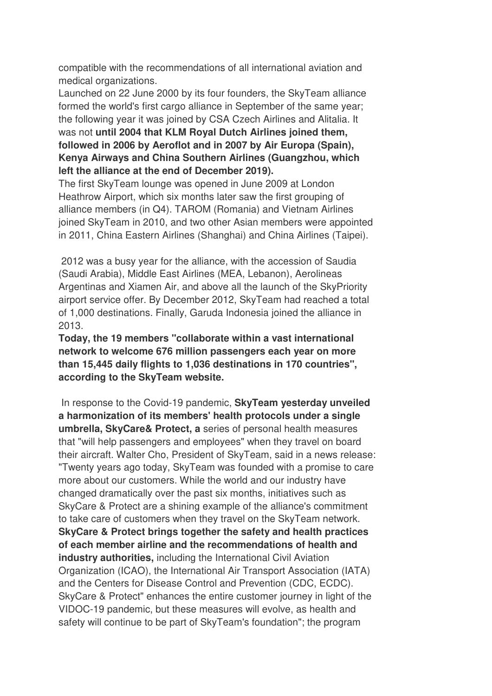compatible with the recommendations of all international aviation and medical organizations.

Launched on 22 June 2000 by its four founders, the SkyTeam alliance formed the world's first cargo alliance in September of the same year; the following year it was joined by CSA Czech Airlines and Alitalia. It was not **until 2004 that KLM Royal Dutch Airlines joined them, followed in 2006 by Aeroflot and in 2007 by Air Europa (Spain), Kenya Airways and China Southern Airlines (Guangzhou, which left the alliance at the end of December 2019).** 

The first SkyTeam lounge was opened in June 2009 at London Heathrow Airport, which six months later saw the first grouping of alliance members (in Q4). TAROM (Romania) and Vietnam Airlines joined SkyTeam in 2010, and two other Asian members were appointed in 2011, China Eastern Airlines (Shanghai) and China Airlines (Taipei).

 2012 was a busy year for the alliance, with the accession of Saudia (Saudi Arabia), Middle East Airlines (MEA, Lebanon), Aerolineas Argentinas and Xiamen Air, and above all the launch of the SkyPriority airport service offer. By December 2012, SkyTeam had reached a total of 1,000 destinations. Finally, Garuda Indonesia joined the alliance in 2013.

**Today, the 19 members "collaborate within a vast international network to welcome 676 million passengers each year on more than 15,445 daily flights to 1,036 destinations in 170 countries", according to the SkyTeam website.** 

 In response to the Covid-19 pandemic, **SkyTeam yesterday unveiled a harmonization of its members' health protocols under a single umbrella, SkyCare& Protect, a** series of personal health measures that "will help passengers and employees" when they travel on board their aircraft. Walter Cho, President of SkyTeam, said in a news release: "Twenty years ago today, SkyTeam was founded with a promise to care more about our customers. While the world and our industry have changed dramatically over the past six months, initiatives such as SkyCare & Protect are a shining example of the alliance's commitment to take care of customers when they travel on the SkyTeam network. **SkyCare & Protect brings together the safety and health practices of each member airline and the recommendations of health and industry authorities,** including the International Civil Aviation Organization (ICAO), the International Air Transport Association (IATA) and the Centers for Disease Control and Prevention (CDC, ECDC). SkyCare & Protect" enhances the entire customer journey in light of the VIDOC-19 pandemic, but these measures will evolve, as health and safety will continue to be part of SkyTeam's foundation"; the program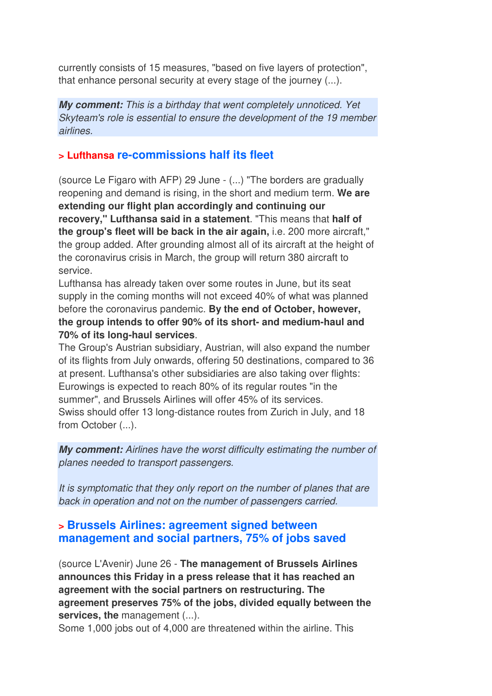currently consists of 15 measures, "based on five layers of protection", that enhance personal security at every stage of the journey (...).

**My comment:** This is a birthday that went completely unnoticed. Yet Skyteam's role is essential to ensure the development of the 19 member airlines.

## **> Lufthansa re-commissions half its fleet**

(source Le Figaro with AFP) 29 June - (...) "The borders are gradually reopening and demand is rising, in the short and medium term. **We are extending our flight plan accordingly and continuing our recovery," Lufthansa said in a statement**. "This means that **half of the group's fleet will be back in the air again,** i.e. 200 more aircraft," the group added. After grounding almost all of its aircraft at the height of the coronavirus crisis in March, the group will return 380 aircraft to service.

Lufthansa has already taken over some routes in June, but its seat supply in the coming months will not exceed 40% of what was planned before the coronavirus pandemic. **By the end of October, however, the group intends to offer 90% of its short- and medium-haul and 70% of its long-haul services**.

The Group's Austrian subsidiary, Austrian, will also expand the number of its flights from July onwards, offering 50 destinations, compared to 36 at present. Lufthansa's other subsidiaries are also taking over flights: Eurowings is expected to reach 80% of its regular routes "in the summer", and Brussels Airlines will offer 45% of its services. Swiss should offer 13 long-distance routes from Zurich in July, and 18 from October (...).

**My comment:** Airlines have the worst difficulty estimating the number of planes needed to transport passengers.

It is symptomatic that they only report on the number of planes that are back in operation and not on the number of passengers carried.

## **> Brussels Airlines: agreement signed between management and social partners, 75% of jobs saved**

(source L'Avenir) June 26 - **The management of Brussels Airlines announces this Friday in a press release that it has reached an agreement with the social partners on restructuring. The agreement preserves 75% of the jobs, divided equally between the services, the** management (...).

Some 1,000 jobs out of 4,000 are threatened within the airline. This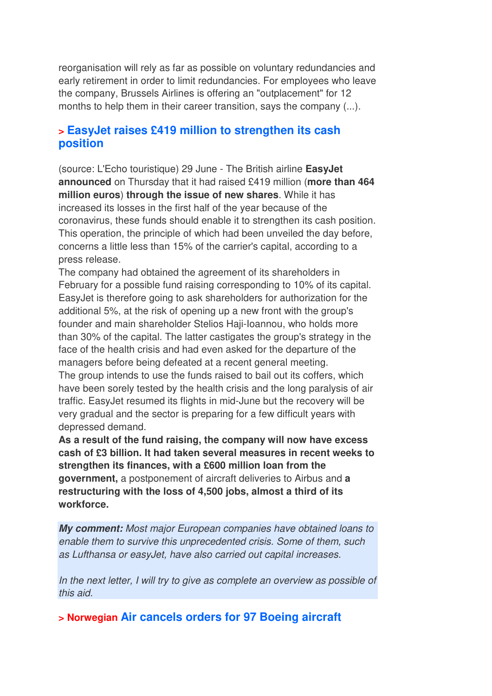reorganisation will rely as far as possible on voluntary redundancies and early retirement in order to limit redundancies. For employees who leave the company, Brussels Airlines is offering an "outplacement" for 12 months to help them in their career transition, says the company (...).

## **> EasyJet raises £419 million to strengthen its cash position**

(source: L'Echo touristique) 29 June - The British airline **EasyJet announced** on Thursday that it had raised £419 million (**more than 464 million euros**) **through the issue of new shares**. While it has increased its losses in the first half of the year because of the coronavirus, these funds should enable it to strengthen its cash position. This operation, the principle of which had been unveiled the day before, concerns a little less than 15% of the carrier's capital, according to a press release.

The company had obtained the agreement of its shareholders in February for a possible fund raising corresponding to 10% of its capital. EasyJet is therefore going to ask shareholders for authorization for the additional 5%, at the risk of opening up a new front with the group's founder and main shareholder Stelios Haji-Ioannou, who holds more than 30% of the capital. The latter castigates the group's strategy in the face of the health crisis and had even asked for the departure of the managers before being defeated at a recent general meeting. The group intends to use the funds raised to bail out its coffers, which have been sorely tested by the health crisis and the long paralysis of air traffic. EasyJet resumed its flights in mid-June but the recovery will be very gradual and the sector is preparing for a few difficult years with depressed demand.

**As a result of the fund raising, the company will now have excess cash of £3 billion. It had taken several measures in recent weeks to strengthen its finances, with a £600 million loan from the government,** a postponement of aircraft deliveries to Airbus and **a restructuring with the loss of 4,500 jobs, almost a third of its workforce.**

**My comment:** Most major European companies have obtained loans to enable them to survive this unprecedented crisis. Some of them, such as Lufthansa or easyJet, have also carried out capital increases.

In the next letter, I will try to give as complete an overview as possible of this aid.

**> Norwegian Air cancels orders for 97 Boeing aircraft**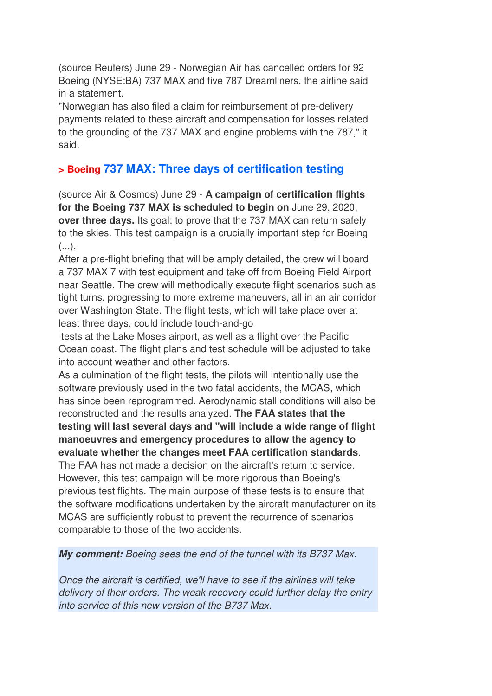(source Reuters) June 29 - Norwegian Air has cancelled orders for 92 Boeing (NYSE:BA) 737 MAX and five 787 Dreamliners, the airline said in a statement.

"Norwegian has also filed a claim for reimbursement of pre-delivery payments related to these aircraft and compensation for losses related to the grounding of the 737 MAX and engine problems with the 787," it said.

## **> Boeing 737 MAX: Three days of certification testing**

(source Air & Cosmos) June 29 - **A campaign of certification flights for the Boeing 737 MAX is scheduled to begin on** June 29, 2020, **over three days.** Its goal: to prove that the 737 MAX can return safely to the skies. This test campaign is a crucially important step for Boeing  $($ ...).

After a pre-flight briefing that will be amply detailed, the crew will board a 737 MAX 7 with test equipment and take off from Boeing Field Airport near Seattle. The crew will methodically execute flight scenarios such as tight turns, progressing to more extreme maneuvers, all in an air corridor over Washington State. The flight tests, which will take place over at least three days, could include touch-and-go

 tests at the Lake Moses airport, as well as a flight over the Pacific Ocean coast. The flight plans and test schedule will be adjusted to take into account weather and other factors.

As a culmination of the flight tests, the pilots will intentionally use the software previously used in the two fatal accidents, the MCAS, which has since been reprogrammed. Aerodynamic stall conditions will also be reconstructed and the results analyzed. **The FAA states that the testing will last several days and "will include a wide range of flight manoeuvres and emergency procedures to allow the agency to evaluate whether the changes meet FAA certification standards**.

The FAA has not made a decision on the aircraft's return to service. However, this test campaign will be more rigorous than Boeing's previous test flights. The main purpose of these tests is to ensure that the software modifications undertaken by the aircraft manufacturer on its MCAS are sufficiently robust to prevent the recurrence of scenarios comparable to those of the two accidents.

#### **My comment:** Boeing sees the end of the tunnel with its B737 Max.

Once the aircraft is certified, we'll have to see if the airlines will take delivery of their orders. The weak recovery could further delay the entry into service of this new version of the B737 Max.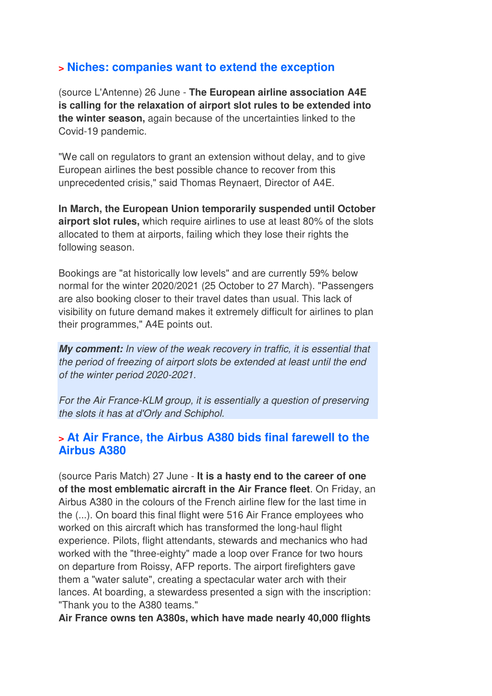## **> Niches: companies want to extend the exception**

(source L'Antenne) 26 June - **The European airline association A4E is calling for the relaxation of airport slot rules to be extended into the winter season,** again because of the uncertainties linked to the Covid-19 pandemic.

"We call on regulators to grant an extension without delay, and to give European airlines the best possible chance to recover from this unprecedented crisis," said Thomas Reynaert, Director of A4E.

**In March, the European Union temporarily suspended until October airport slot rules,** which require airlines to use at least 80% of the slots allocated to them at airports, failing which they lose their rights the following season.

Bookings are "at historically low levels" and are currently 59% below normal for the winter 2020/2021 (25 October to 27 March). "Passengers are also booking closer to their travel dates than usual. This lack of visibility on future demand makes it extremely difficult for airlines to plan their programmes," A4E points out.

**My comment:** In view of the weak recovery in traffic, it is essential that the period of freezing of airport slots be extended at least until the end of the winter period 2020-2021.

For the Air France-KLM group, it is essentially a question of preserving the slots it has at d'Orly and Schiphol.

#### **> At Air France, the Airbus A380 bids final farewell to the Airbus A380**

(source Paris Match) 27 June - **It is a hasty end to the career of one of the most emblematic aircraft in the Air France fleet**. On Friday, an Airbus A380 in the colours of the French airline flew for the last time in the (...). On board this final flight were 516 Air France employees who worked on this aircraft which has transformed the long-haul flight experience. Pilots, flight attendants, stewards and mechanics who had worked with the "three-eighty" made a loop over France for two hours on departure from Roissy, AFP reports. The airport firefighters gave them a "water salute", creating a spectacular water arch with their lances. At boarding, a stewardess presented a sign with the inscription: "Thank you to the A380 teams."

**Air France owns ten A380s, which have made nearly 40,000 flights**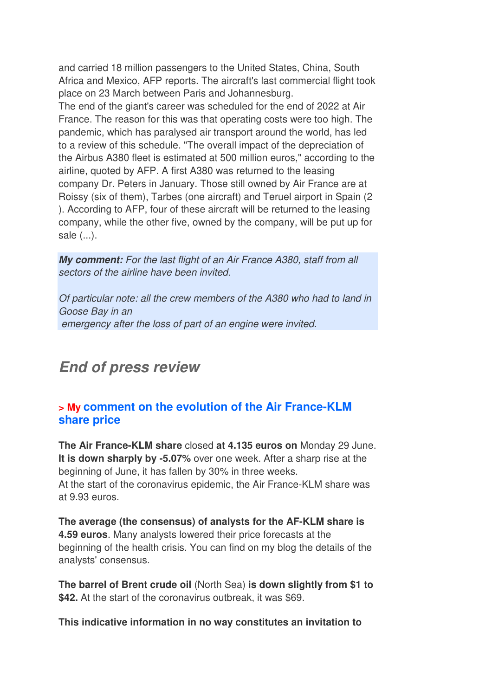and carried 18 million passengers to the United States, China, South Africa and Mexico, AFP reports. The aircraft's last commercial flight took place on 23 March between Paris and Johannesburg.

The end of the giant's career was scheduled for the end of 2022 at Air France. The reason for this was that operating costs were too high. The pandemic, which has paralysed air transport around the world, has led to a review of this schedule. "The overall impact of the depreciation of the Airbus A380 fleet is estimated at 500 million euros," according to the airline, quoted by AFP. A first A380 was returned to the leasing company Dr. Peters in January. Those still owned by Air France are at Roissy (six of them), Tarbes (one aircraft) and Teruel airport in Spain (2 ). According to AFP, four of these aircraft will be returned to the leasing company, while the other five, owned by the company, will be put up for sale (...).

**My comment:** For the last flight of an Air France A380, staff from all sectors of the airline have been invited.

Of particular note: all the crew members of the A380 who had to land in Goose Bay in an emergency after the loss of part of an engine were invited.

## **End of press review**

## **> My comment on the evolution of the Air France-KLM share price**

**The Air France-KLM share** closed **at 4.135 euros on** Monday 29 June. **It is down sharply by -5.07%** over one week. After a sharp rise at the beginning of June, it has fallen by 30% in three weeks. At the start of the coronavirus epidemic, the Air France-KLM share was at 9.93 euros.

**The average (the consensus) of analysts for the AF-KLM share is 4.59 euros**. Many analysts lowered their price forecasts at the beginning of the health crisis. You can find on my blog the details of the analysts' consensus.

**The barrel of Brent crude oil** (North Sea) **is down slightly from \$1 to \$42.** At the start of the coronavirus outbreak, it was \$69.

**This indicative information in no way constitutes an invitation to**